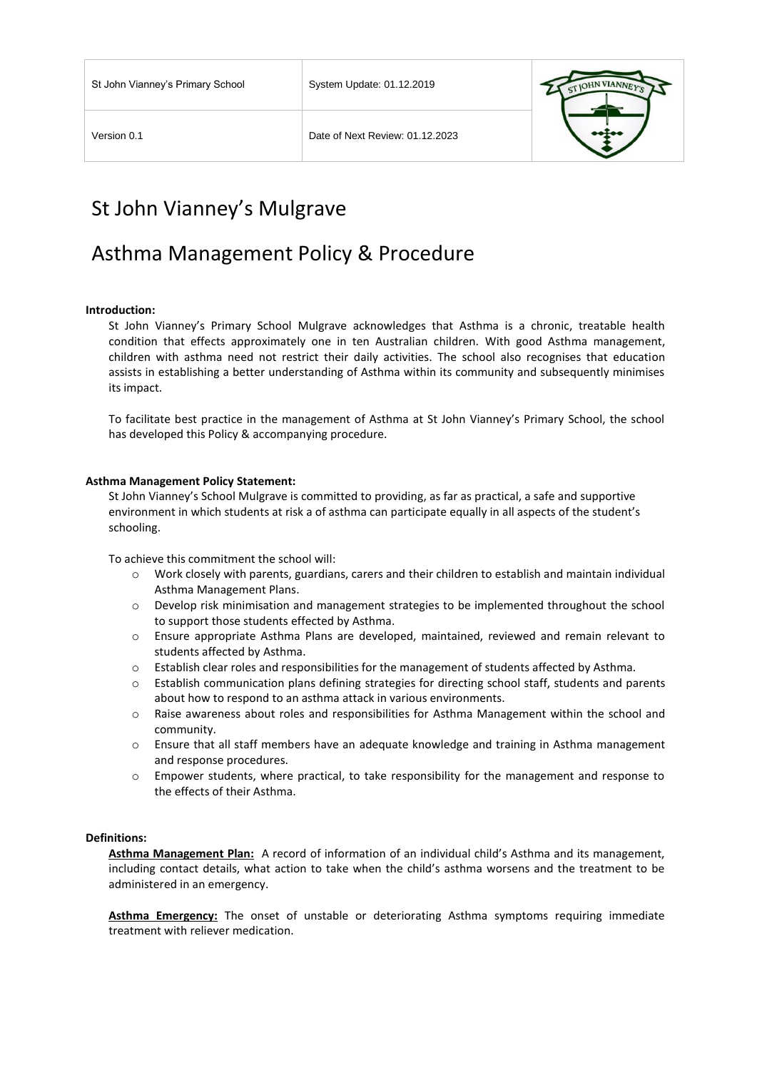

# St John Vianney's Mulgrave

# Asthma Management Policy & Procedure

## **Introduction:**

St John Vianney's Primary School Mulgrave acknowledges that Asthma is a chronic, treatable health condition that effects approximately one in ten Australian children. With good Asthma management, children with asthma need not restrict their daily activities. The school also recognises that education assists in establishing a better understanding of Asthma within its community and subsequently minimises its impact.

To facilitate best practice in the management of Asthma at St John Vianney's Primary School, the school has developed this Policy & accompanying procedure.

#### **Asthma Management Policy Statement:**

St John Vianney's School Mulgrave is committed to providing, as far as practical, a safe and supportive environment in which students at risk a of asthma can participate equally in all aspects of the student's schooling.

To achieve this commitment the school will:

- o Work closely with parents, guardians, carers and their children to establish and maintain individual Asthma Management Plans.
- o Develop risk minimisation and management strategies to be implemented throughout the school to support those students effected by Asthma.
- o Ensure appropriate Asthma Plans are developed, maintained, reviewed and remain relevant to students affected by Asthma.
- o Establish clear roles and responsibilities for the management of students affected by Asthma.
- o Establish communication plans defining strategies for directing school staff, students and parents about how to respond to an asthma attack in various environments.
- o Raise awareness about roles and responsibilities for Asthma Management within the school and community.
- o Ensure that all staff members have an adequate knowledge and training in Asthma management and response procedures.
- o Empower students, where practical, to take responsibility for the management and response to the effects of their Asthma.

## **Definitions:**

**Asthma Management Plan:** A record of information of an individual child's Asthma and its management, including contact details, what action to take when the child's asthma worsens and the treatment to be administered in an emergency.

**Asthma Emergency:** The onset of unstable or deteriorating Asthma symptoms requiring immediate treatment with reliever medication.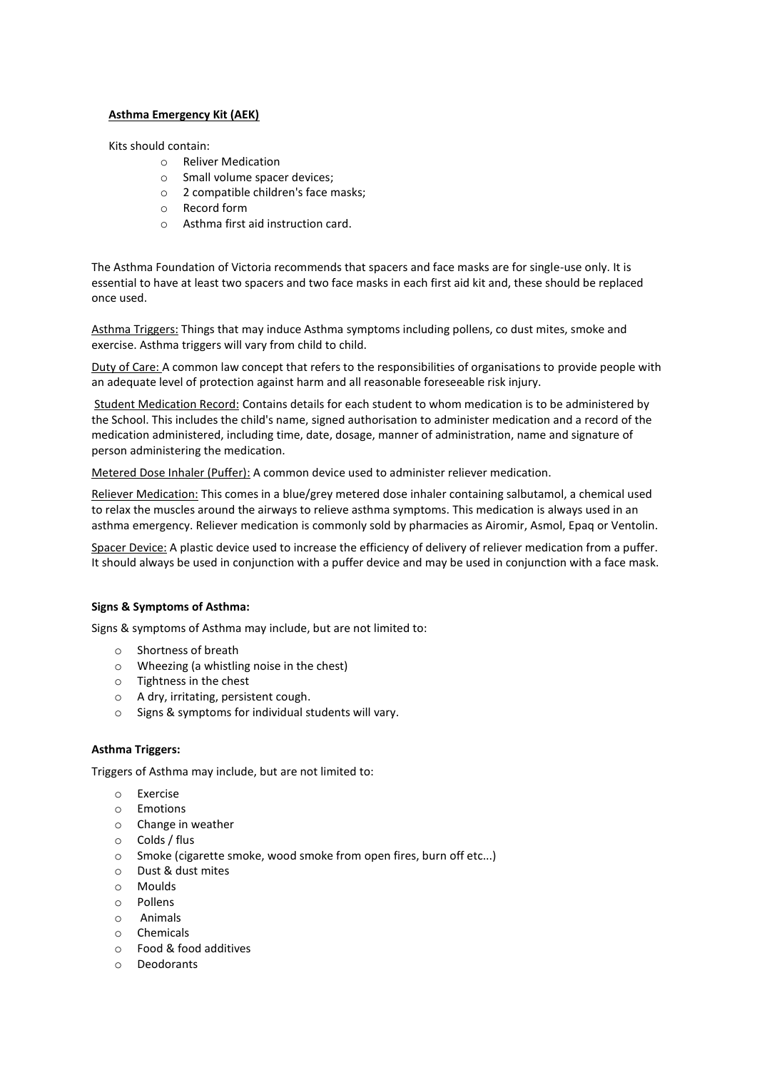# **Asthma Emergency Kit (AEK)**

Kits should contain:

- o Reliver Medication
- o Small volume spacer devices;
- o 2 compatible children's face masks;
- o Record form
- o Asthma first aid instruction card.

The Asthma Foundation of Victoria recommends that spacers and face masks are for single-use only. It is essential to have at least two spacers and two face masks in each first aid kit and, these should be replaced once used.

Asthma Triggers: Things that may induce Asthma symptoms including pollens, co dust mites, smoke and exercise. Asthma triggers will vary from child to child.

Duty of Care: A common law concept that refers to the responsibilities of organisations to provide people with an adequate level of protection against harm and all reasonable foreseeable risk injury.

Student Medication Record: Contains details for each student to whom medication is to be administered by the School. This includes the child's name, signed authorisation to administer medication and a record of the medication administered, including time, date, dosage, manner of administration, name and signature of person administering the medication.

Metered Dose Inhaler (Puffer): A common device used to administer reliever medication.

Reliever Medication: This comes in a blue/grey metered dose inhaler containing salbutamol, a chemical used to relax the muscles around the airways to relieve asthma symptoms. This medication is always used in an asthma emergency. Reliever medication is commonly sold by pharmacies as Airomir, Asmol, Epaq or Ventolin.

Spacer Device: A plastic device used to increase the efficiency of delivery of reliever medication from a puffer. It should always be used in conjunction with a puffer device and may be used in conjunction with a face mask.

# **Signs & Symptoms of Asthma:**

Signs & symptoms of Asthma may include, but are not limited to:

- o Shortness of breath
- o Wheezing (a whistling noise in the chest)
- o Tightness in the chest
- o A dry, irritating, persistent cough.
- o Signs & symptoms for individual students will vary.

## **Asthma Triggers:**

Triggers of Asthma may include, but are not limited to:

- o Exercise
- o Emotions
- o Change in weather
- o Colds / flus
- o Smoke (cigarette smoke, wood smoke from open fires, burn off etc...)
- o Dust & dust mites
- o Moulds
- o Pollens
- o Animals
- o Chemicals
- o Food & food additives
- o Deodorants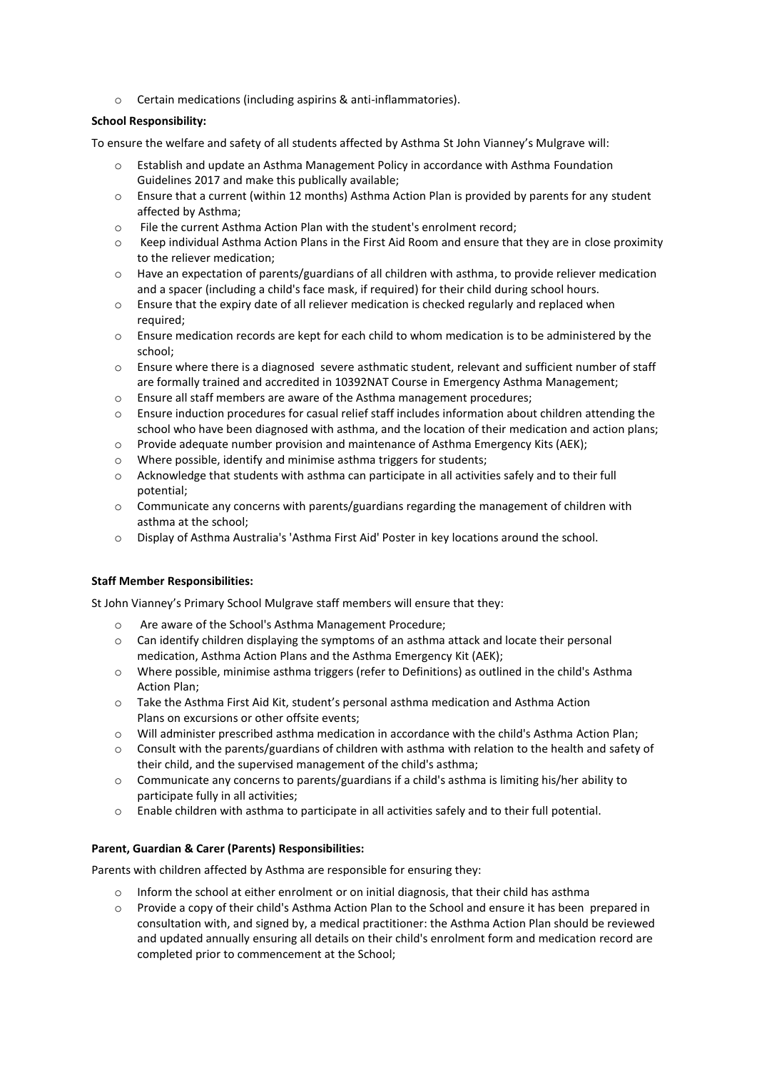o Certain medications (including aspirins & anti-inflammatories).

# **School Responsibility:**

To ensure the welfare and safety of all students affected by Asthma St John Vianney's Mulgrave will:

- o Establish and update an Asthma Management Policy in accordance with Asthma Foundation Guidelines 2017 and make this publically available;
- $\circ$  Ensure that a current (within 12 months) Asthma Action Plan is provided by parents for any student affected by Asthma;
- o File the current Asthma Action Plan with the student's enrolment record;
- o Keep individual Asthma Action Plans in the First Aid Room and ensure that they are in close proximity to the reliever medication;
- $\circ$  Have an expectation of parents/guardians of all children with asthma, to provide reliever medication and a spacer (including a child's face mask, if required) for their child during school hours.
- o Ensure that the expiry date of all reliever medication is checked regularly and replaced when required;
- o Ensure medication records are kept for each child to whom medication is to be administered by the school;
- o Ensure where there is a diagnosed severe asthmatic student, relevant and sufficient number of staff are formally trained and accredited in 10392NAT Course in Emergency Asthma Management;
- o Ensure all staff members are aware of the Asthma management procedures;
- o Ensure induction procedures for casual relief staff includes information about children attending the school who have been diagnosed with asthma, and the location of their medication and action plans;
- $\circ$  Provide adequate number provision and maintenance of Asthma Emergency Kits (AEK);
- o Where possible, identify and minimise asthma triggers for students;
- o Acknowledge that students with asthma can participate in all activities safely and to their full potential;
- $\circ$  Communicate any concerns with parents/guardians regarding the management of children with asthma at the school;
- o Display of Asthma Australia's 'Asthma First Aid' Poster in key locations around the school.

# **Staff Member Responsibilities:**

St John Vianney's Primary School Mulgrave staff members will ensure that they:

- o Are aware of the School's Asthma Management Procedure;
- o Can identify children displaying the symptoms of an asthma attack and locate their personal medication, Asthma Action Plans and the Asthma Emergency Kit (AEK);
- o Where possible, minimise asthma triggers (refer to Definitions) as outlined in the child's Asthma Action Plan;
- o Take the Asthma First Aid Kit, student's personal asthma medication and Asthma Action Plans on excursions or other offsite events;
- o Will administer prescribed asthma medication in accordance with the child's Asthma Action Plan;
- o Consult with the parents/guardians of children with asthma with relation to the health and safety of their child, and the supervised management of the child's asthma;
- o Communicate any concerns to parents/guardians if a child's asthma is limiting his/her ability to participate fully in all activities;
- o Enable children with asthma to participate in all activities safely and to their full potential.

# **Parent, Guardian & Carer (Parents) Responsibilities:**

Parents with children affected by Asthma are responsible for ensuring they:

- $\circ$  Inform the school at either enrolment or on initial diagnosis, that their child has asthma
- o Provide a copy of their child's Asthma Action Plan to the School and ensure it has been prepared in consultation with, and signed by, a medical practitioner: the Asthma Action Plan should be reviewed and updated annually ensuring all details on their child's enrolment form and medication record are completed prior to commencement at the School;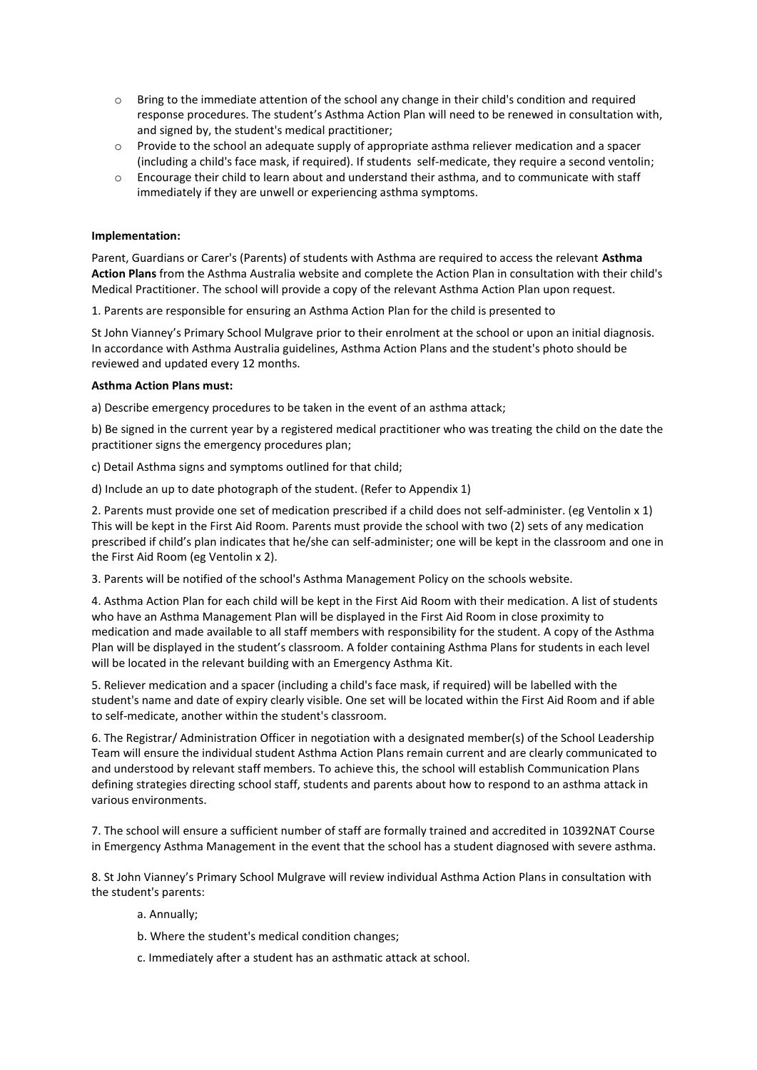- o Bring to the immediate attention of the school any change in their child's condition and required response procedures. The student's Asthma Action Plan will need to be renewed in consultation with, and signed by, the student's medical practitioner;
- $\circ$  Provide to the school an adequate supply of appropriate asthma reliever medication and a spacer (including a child's face mask, if required). If students self-medicate, they require a second ventolin;
- o Encourage their child to learn about and understand their asthma, and to communicate with staff immediately if they are unwell or experiencing asthma symptoms.

# **Implementation:**

Parent, Guardians or Carer's (Parents) of students with Asthma are required to access the relevant **Asthma Action Plans** from the Asthma Australia website and complete the Action Plan in consultation with their child's Medical Practitioner. The school will provide a copy of the relevant Asthma Action Plan upon request.

1. Parents are responsible for ensuring an Asthma Action Plan for the child is presented to

St John Vianney's Primary School Mulgrave prior to their enrolment at the school or upon an initial diagnosis. In accordance with Asthma Australia guidelines, Asthma Action Plans and the student's photo should be reviewed and updated every 12 months.

# **Asthma Action Plans must:**

a) Describe emergency procedures to be taken in the event of an asthma attack;

b) Be signed in the current year by a registered medical practitioner who was treating the child on the date the practitioner signs the emergency procedures plan;

c) Detail Asthma signs and symptoms outlined for that child;

d) Include an up to date photograph of the student. (Refer to Appendix 1)

2. Parents must provide one set of medication prescribed if a child does not self-administer. (eg Ventolin x 1) This will be kept in the First Aid Room. Parents must provide the school with two (2) sets of any medication prescribed if child's plan indicates that he/she can self-administer; one will be kept in the classroom and one in the First Aid Room (eg Ventolin x 2).

3. Parents will be notified of the school's Asthma Management Policy on the schools website.

4. Asthma Action Plan for each child will be kept in the First Aid Room with their medication. A list of students who have an Asthma Management Plan will be displayed in the First Aid Room in close proximity to medication and made available to all staff members with responsibility for the student. A copy of the Asthma Plan will be displayed in the student's classroom. A folder containing Asthma Plans for students in each level will be located in the relevant building with an Emergency Asthma Kit.

5. Reliever medication and a spacer (including a child's face mask, if required) will be labelled with the student's name and date of expiry clearly visible. One set will be located within the First Aid Room and if able to self-medicate, another within the student's classroom.

6. The Registrar/ Administration Officer in negotiation with a designated member(s) of the School Leadership Team will ensure the individual student Asthma Action Plans remain current and are clearly communicated to and understood by relevant staff members. To achieve this, the school will establish Communication Plans defining strategies directing school staff, students and parents about how to respond to an asthma attack in various environments.

7. The school will ensure a sufficient number of staff are formally trained and accredited in 10392NAT Course in Emergency Asthma Management in the event that the school has a student diagnosed with severe asthma.

8. St John Vianney's Primary School Mulgrave will review individual Asthma Action Plans in consultation with the student's parents:

- a. Annually;
- b. Where the student's medical condition changes;
- c. Immediately after a student has an asthmatic attack at school.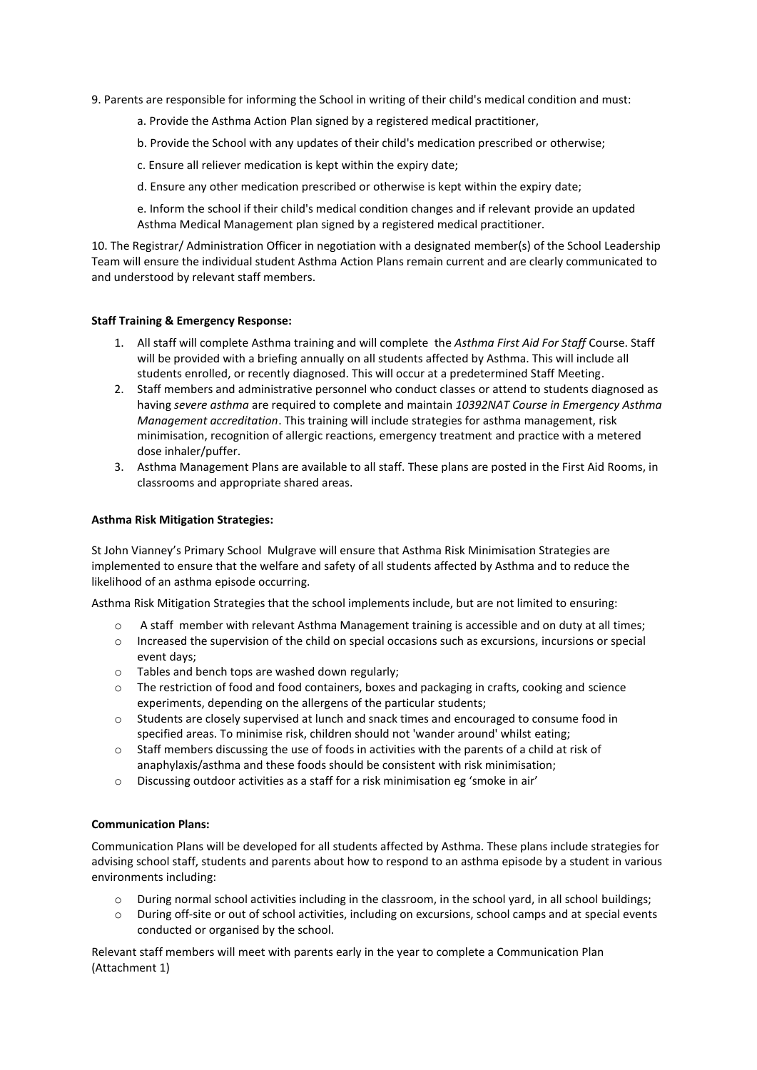- 9. Parents are responsible for informing the School in writing of their child's medical condition and must:
	- a. Provide the Asthma Action Plan signed by a registered medical practitioner,
	- b. Provide the School with any updates of their child's medication prescribed or otherwise;
	- c. Ensure all reliever medication is kept within the expiry date;
	- d. Ensure any other medication prescribed or otherwise is kept within the expiry date;
	- e. Inform the school if their child's medical condition changes and if relevant provide an updated Asthma Medical Management plan signed by a registered medical practitioner.

10. The Registrar/ Administration Officer in negotiation with a designated member(s) of the School Leadership Team will ensure the individual student Asthma Action Plans remain current and are clearly communicated to and understood by relevant staff members.

# **Staff Training & Emergency Response:**

- 1. All staff will complete Asthma training and will complete the *Asthma First Aid For Staff* Course. Staff will be provided with a briefing annually on all students affected by Asthma. This will include all students enrolled, or recently diagnosed. This will occur at a predetermined Staff Meeting.
- 2. Staff members and administrative personnel who conduct classes or attend to students diagnosed as having *severe asthma* are required to complete and maintain *10392NAT Course in Emergency Asthma Management accreditation*. This training will include strategies for asthma management, risk minimisation, recognition of allergic reactions, emergency treatment and practice with a metered dose inhaler/puffer.
- 3. Asthma Management Plans are available to all staff. These plans are posted in the First Aid Rooms, in classrooms and appropriate shared areas.

# **Asthma Risk Mitigation Strategies:**

St John Vianney's Primary School Mulgrave will ensure that Asthma Risk Minimisation Strategies are implemented to ensure that the welfare and safety of all students affected by Asthma and to reduce the likelihood of an asthma episode occurring.

Asthma Risk Mitigation Strategies that the school implements include, but are not limited to ensuring:

- o A staff member with relevant Asthma Management training is accessible and on duty at all times;
- o Increased the supervision of the child on special occasions such as excursions, incursions or special event days;
- o Tables and bench tops are washed down regularly;
- o The restriction of food and food containers, boxes and packaging in crafts, cooking and science experiments, depending on the allergens of the particular students;
- o Students are closely supervised at lunch and snack times and encouraged to consume food in specified areas. To minimise risk, children should not 'wander around' whilst eating;
- $\circ$  Staff members discussing the use of foods in activities with the parents of a child at risk of anaphylaxis/asthma and these foods should be consistent with risk minimisation;
- $\circ$  Discussing outdoor activities as a staff for a risk minimisation eg 'smoke in air'

## **Communication Plans:**

Communication Plans will be developed for all students affected by Asthma. These plans include strategies for advising school staff, students and parents about how to respond to an asthma episode by a student in various environments including:

- $\circ$  During normal school activities including in the classroom, in the school yard, in all school buildings;
- o During off-site or out of school activities, including on excursions, school camps and at special events conducted or organised by the school.

Relevant staff members will meet with parents early in the year to complete a Communication Plan (Attachment 1)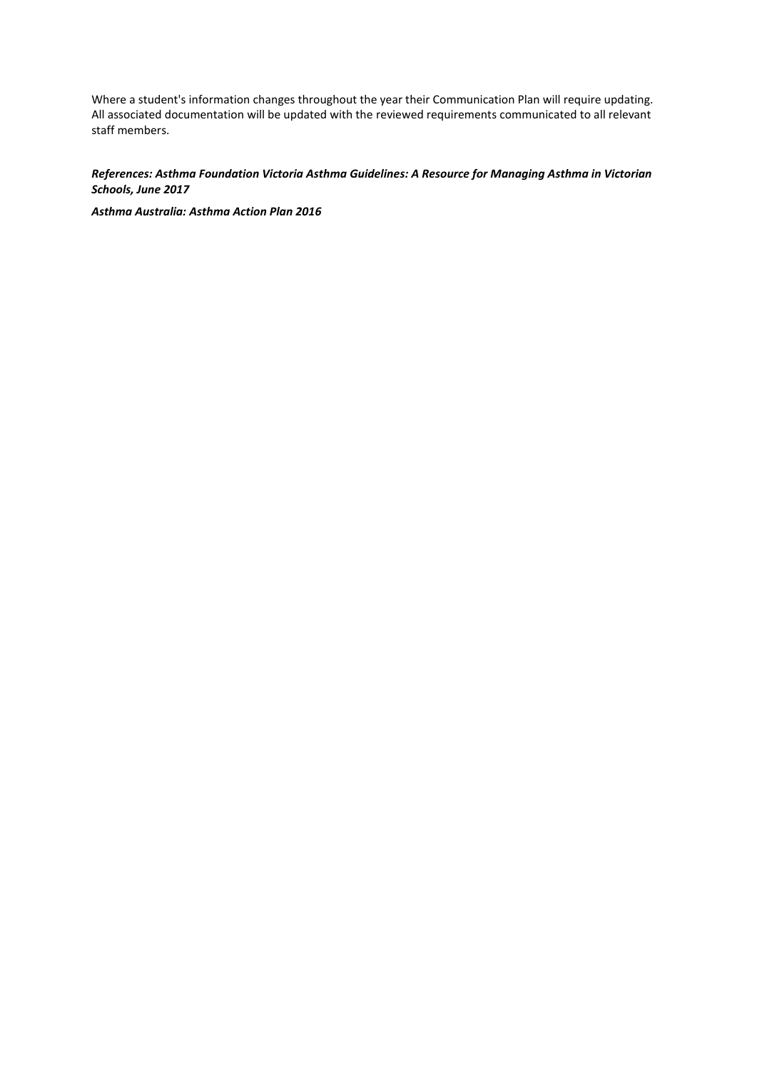Where a student's information changes throughout the year their Communication Plan will require updating. All associated documentation will be updated with the reviewed requirements communicated to all relevant staff members.

# *References: Asthma Foundation Victoria Asthma Guidelines: A Resource for Managing Asthma in Victorian Schools, June 2017*

*Asthma Australia: Asthma Action Plan 2016*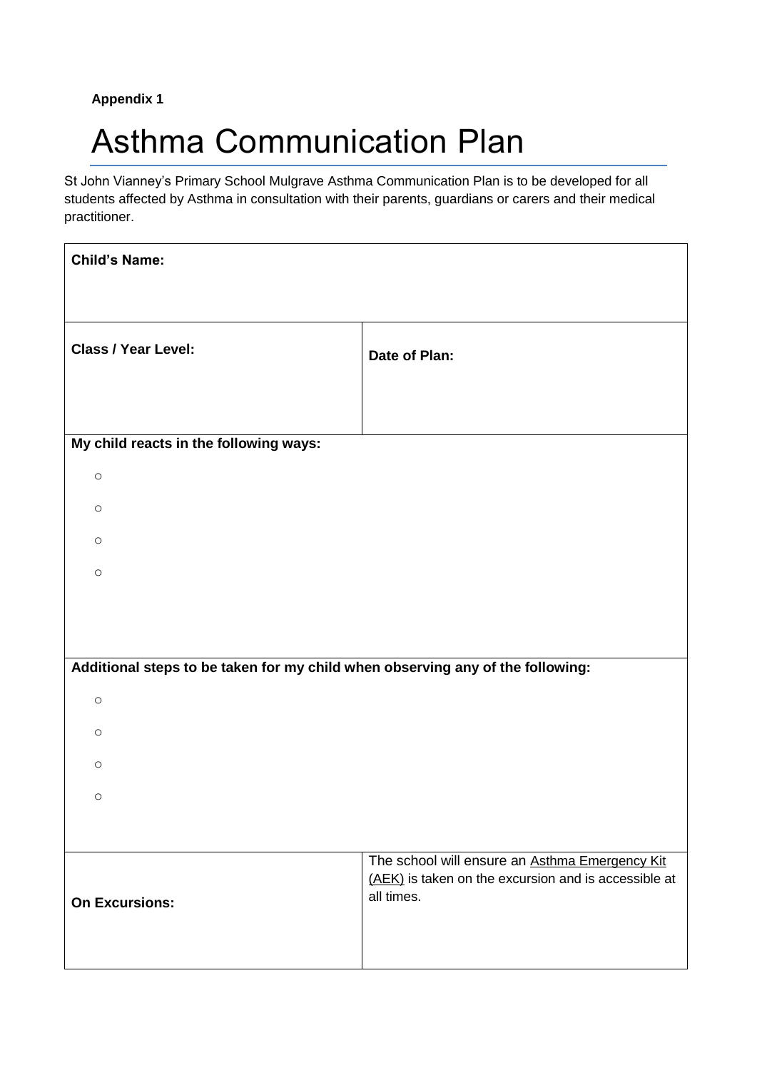# **Appendix 1**

# Asthma Communication Plan

St John Vianney's Primary School Mulgrave Asthma Communication Plan is to be developed for all students affected by Asthma in consultation with their parents, guardians or carers and their medical practitioner.

| <b>Child's Name:</b>                                                           |                                                                                                                      |
|--------------------------------------------------------------------------------|----------------------------------------------------------------------------------------------------------------------|
|                                                                                |                                                                                                                      |
| <b>Class / Year Level:</b>                                                     | Date of Plan:                                                                                                        |
| My child reacts in the following ways:                                         |                                                                                                                      |
| $\circ$                                                                        |                                                                                                                      |
| $\circ$                                                                        |                                                                                                                      |
| $\circ$                                                                        |                                                                                                                      |
| $\circ$                                                                        |                                                                                                                      |
|                                                                                |                                                                                                                      |
|                                                                                |                                                                                                                      |
| Additional steps to be taken for my child when observing any of the following: |                                                                                                                      |
| $\circ$                                                                        |                                                                                                                      |
| $\circ$                                                                        |                                                                                                                      |
| $\circ$                                                                        |                                                                                                                      |
| $\circ$                                                                        |                                                                                                                      |
|                                                                                |                                                                                                                      |
| <b>On Excursions:</b>                                                          | The school will ensure an Asthma Emergency Kit<br>(AEK) is taken on the excursion and is accessible at<br>all times. |